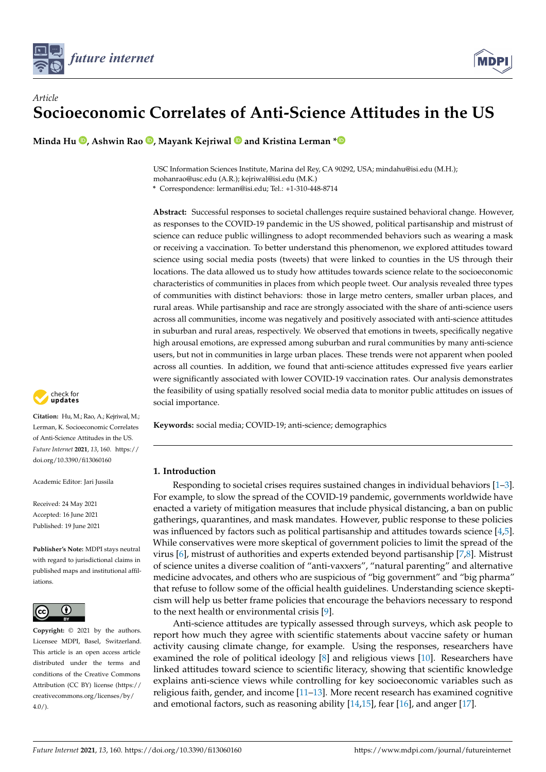



# *Article* **Socioeconomic Correlates of Anti-Science Attitudes in the US**

**Minda Hu <sup>(b</sup>)[,](https://orcid.org/0000-0001-8751-3076) Ashwin Rao <sup>(b</sup>), Mayank Kejriwal <sup>(b</sup>) and Kristina Lerman**  $*$ **<sup>6</sup>** 

USC Information Sciences Institute, Marina del Rey, CA 90292, USA; mindahu@isi.edu (M.H.); mohanrao@usc.edu (A.R.); kejriwal@isi.edu (M.K.)

**\*** Correspondence: lerman@isi.edu; Tel.: +1-310-448-8714

**Abstract:** Successful responses to societal challenges require sustained behavioral change. However, as responses to the COVID-19 pandemic in the US showed, political partisanship and mistrust of science can reduce public willingness to adopt recommended behaviors such as wearing a mask or receiving a vaccination. To better understand this phenomenon, we explored attitudes toward science using social media posts (tweets) that were linked to counties in the US through their locations. The data allowed us to study how attitudes towards science relate to the socioeconomic characteristics of communities in places from which people tweet. Our analysis revealed three types of communities with distinct behaviors: those in large metro centers, smaller urban places, and rural areas. While partisanship and race are strongly associated with the share of anti-science users across all communities, income was negatively and positively associated with anti-science attitudes in suburban and rural areas, respectively. We observed that emotions in tweets, specifically negative high arousal emotions, are expressed among suburban and rural communities by many anti-science users, but not in communities in large urban places. These trends were not apparent when pooled across all counties. In addition, we found that anti-science attitudes expressed five years earlier were significantly associated with lower COVID-19 vaccination rates. Our analysis demonstrates the feasibility of using spatially resolved social media data to monitor public attitudes on issues of social importance.

**Keywords:** social media; COVID-19; anti-science; demographics

## **1. Introduction**

Responding to societal crises requires sustained changes in individual behaviors [\[1](#page-12-0)[–3\]](#page-12-1). For example, to slow the spread of the COVID-19 pandemic, governments worldwide have enacted a variety of mitigation measures that include physical distancing, a ban on public gatherings, quarantines, and mask mandates. However, public response to these policies was influenced by factors such as political partisanship and attitudes towards science [\[4](#page-12-2)[,5\]](#page-12-3). While conservatives were more skeptical of government policies to limit the spread of the virus [\[6\]](#page-12-4), mistrust of authorities and experts extended beyond partisanship [\[7](#page-12-5)[,8\]](#page-12-6). Mistrust of science unites a diverse coalition of "anti-vaxxers", "natural parenting" and alternative medicine advocates, and others who are suspicious of "big government" and "big pharma" that refuse to follow some of the official health guidelines. Understanding science skepticism will help us better frame policies that encourage the behaviors necessary to respond to the next health or environmental crisis [\[9\]](#page-12-7).

Anti-science attitudes are typically assessed through surveys, which ask people to report how much they agree with scientific statements about vaccine safety or human activity causing climate change, for example. Using the responses, researchers have examined the role of political ideology [\[8\]](#page-12-6) and religious views [\[10\]](#page-12-8). Researchers have linked attitudes toward science to scientific literacy, showing that scientific knowledge explains anti-science views while controlling for key socioeconomic variables such as religious faith, gender, and income [\[11–](#page-12-9)[13\]](#page-12-10). More recent research has examined cognitive and emotional factors, such as reasoning ability [\[14,](#page-12-11)[15\]](#page-12-12), fear [\[16\]](#page-12-13), and anger [\[17\]](#page-12-14).



**Citation:** Hu, M.; Rao, A.; Kejriwal, M.; Lerman, K. Socioeconomic Correlates of Anti-Science Attitudes in the US. *Future Internet* **2021**, *13*, 160. [https://](https://doi.org/10.3390/fi13060160) [doi.org/10.3390/fi13060160](https://doi.org/10.3390/fi13060160)

Academic Editor: Jari Jussila

Received: 24 May 2021 Accepted: 16 June 2021 Published: 19 June 2021

**Publisher's Note:** MDPI stays neutral with regard to jurisdictional claims in published maps and institutional affiliations.



**Copyright:** © 2021 by the authors. Licensee MDPI, Basel, Switzerland. This article is an open access article distributed under the terms and conditions of the Creative Commons Attribution (CC BY) license (https:/[/](https://creativecommons.org/licenses/by/4.0/) [creativecommons.org/licenses/by/](https://creativecommons.org/licenses/by/4.0/)  $4.0/$ ).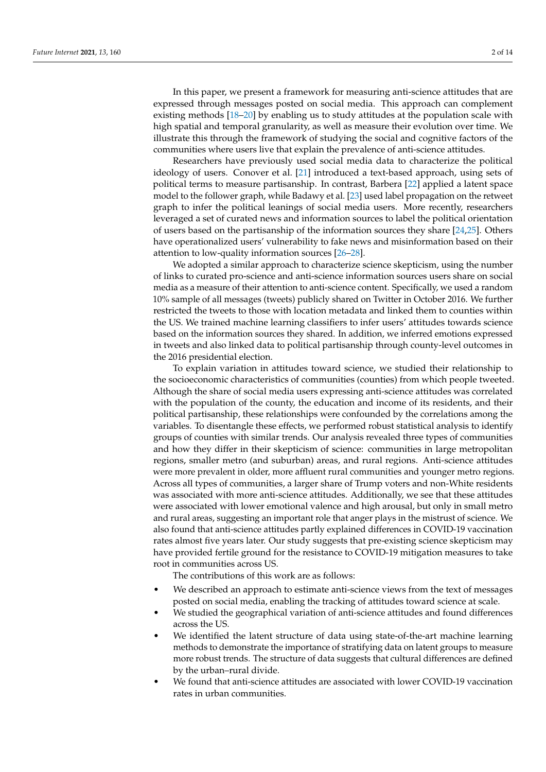In this paper, we present a framework for measuring anti-science attitudes that are expressed through messages posted on social media. This approach can complement existing methods [\[18–](#page-12-15)[20\]](#page-13-0) by enabling us to study attitudes at the population scale with high spatial and temporal granularity, as well as measure their evolution over time. We illustrate this through the framework of studying the social and cognitive factors of the communities where users live that explain the prevalence of anti-science attitudes.

Researchers have previously used social media data to characterize the political ideology of users. Conover et al. [\[21\]](#page-13-1) introduced a text-based approach, using sets of political terms to measure partisanship. In contrast, Barbera [\[22\]](#page-13-2) applied a latent space model to the follower graph, while Badawy et al. [\[23\]](#page-13-3) used label propagation on the retweet graph to infer the political leanings of social media users. More recently, researchers leveraged a set of curated news and information sources to label the political orientation of users based on the partisanship of the information sources they share [\[24](#page-13-4)[,25\]](#page-13-5). Others have operationalized users' vulnerability to fake news and misinformation based on their attention to low-quality information sources [\[26–](#page-13-6)[28\]](#page-13-7).

We adopted a similar approach to characterize science skepticism, using the number of links to curated pro-science and anti-science information sources users share on social media as a measure of their attention to anti-science content. Specifically, we used a random 10% sample of all messages (tweets) publicly shared on Twitter in October 2016. We further restricted the tweets to those with location metadata and linked them to counties within the US. We trained machine learning classifiers to infer users' attitudes towards science based on the information sources they shared. In addition, we inferred emotions expressed in tweets and also linked data to political partisanship through county-level outcomes in the 2016 presidential election.

To explain variation in attitudes toward science, we studied their relationship to the socioeconomic characteristics of communities (counties) from which people tweeted. Although the share of social media users expressing anti-science attitudes was correlated with the population of the county, the education and income of its residents, and their political partisanship, these relationships were confounded by the correlations among the variables. To disentangle these effects, we performed robust statistical analysis to identify groups of counties with similar trends. Our analysis revealed three types of communities and how they differ in their skepticism of science: communities in large metropolitan regions, smaller metro (and suburban) areas, and rural regions. Anti-science attitudes were more prevalent in older, more affluent rural communities and younger metro regions. Across all types of communities, a larger share of Trump voters and non-White residents was associated with more anti-science attitudes. Additionally, we see that these attitudes were associated with lower emotional valence and high arousal, but only in small metro and rural areas, suggesting an important role that anger plays in the mistrust of science. We also found that anti-science attitudes partly explained differences in COVID-19 vaccination rates almost five years later. Our study suggests that pre-existing science skepticism may have provided fertile ground for the resistance to COVID-19 mitigation measures to take root in communities across US.

The contributions of this work are as follows:

- We described an approach to estimate anti-science views from the text of messages posted on social media, enabling the tracking of attitudes toward science at scale.
- We studied the geographical variation of anti-science attitudes and found differences across the US.
- We identified the latent structure of data using state-of-the-art machine learning methods to demonstrate the importance of stratifying data on latent groups to measure more robust trends. The structure of data suggests that cultural differences are defined by the urban–rural divide.
- We found that anti-science attitudes are associated with lower COVID-19 vaccination rates in urban communities.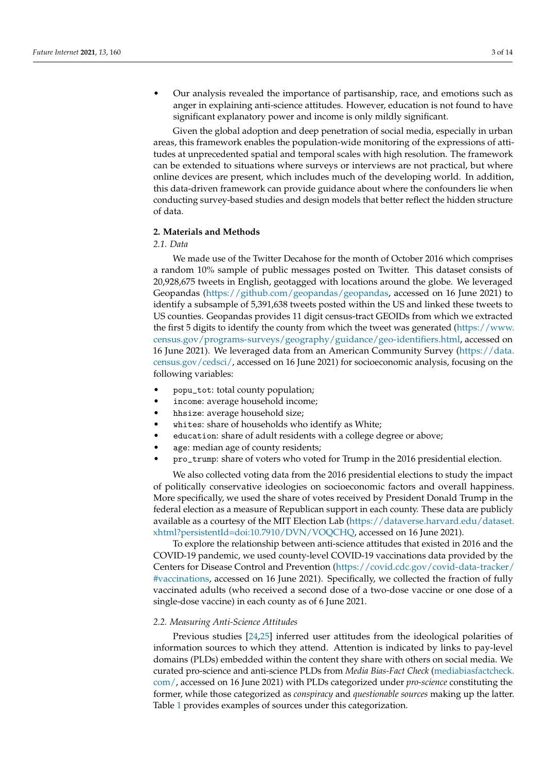• Our analysis revealed the importance of partisanship, race, and emotions such as anger in explaining anti-science attitudes. However, education is not found to have significant explanatory power and income is only mildly significant.

Given the global adoption and deep penetration of social media, especially in urban areas, this framework enables the population-wide monitoring of the expressions of attitudes at unprecedented spatial and temporal scales with high resolution. The framework can be extended to situations where surveys or interviews are not practical, but where online devices are present, which includes much of the developing world. In addition, this data-driven framework can provide guidance about where the confounders lie when conducting survey-based studies and design models that better reflect the hidden structure of data.

## **2. Materials and Methods**

# *2.1. Data*

We made use of the Twitter Decahose for the month of October 2016 which comprises a random 10% sample of public messages posted on Twitter. This dataset consists of 20,928,675 tweets in English, geotagged with locations around the globe. We leveraged Geopandas [\(https://github.com/geopandas/geopandas,](https://github.com/geopandas/geopandas) accessed on 16 June 2021) to identify a subsample of 5,391,638 tweets posted within the US and linked these tweets to US counties. Geopandas provides 11 digit census-tract GEOIDs from which we extracted the first 5 digits to identify the county from which the tweet was generated [\(https://www.](https://www.census.gov/programs-surveys/geography/guidance/geo-identifiers.html) [census.gov/programs-surveys/geography/guidance/geo-identifiers.html,](https://www.census.gov/programs-surveys/geography/guidance/geo-identifiers.html) accessed on 16 June 2021). We leveraged data from an American Community Survey [\(https://data.](https://data.census.gov/cedsci/) [census.gov/cedsci/,](https://data.census.gov/cedsci/) accessed on 16 June 2021) for socioeconomic analysis, focusing on the following variables:

- popu\_tot: total county population;
- income: average household income;
- hhsize: average household size;
- whites: share of households who identify as White;
- education: share of adult residents with a college degree or above;
- age: median age of county residents;
- pro\_trump: share of voters who voted for Trump in the 2016 presidential election.

We also collected voting data from the 2016 presidential elections to study the impact of politically conservative ideologies on socioeconomic factors and overall happiness. More specifically, we used the share of votes received by President Donald Trump in the federal election as a measure of Republican support in each county. These data are publicly available as a courtesy of the MIT Election Lab [\(https://dataverse.harvard.edu/dataset.](https://dataverse.harvard.edu/dataset.xhtml?persistentId=doi:10.7910/DVN/VOQCHQ) [xhtml?persistentId=doi:10.7910/DVN/VOQCHQ,](https://dataverse.harvard.edu/dataset.xhtml?persistentId=doi:10.7910/DVN/VOQCHQ) accessed on 16 June 2021).

To explore the relationship between anti-science attitudes that existed in 2016 and the COVID-19 pandemic, we used county-level COVID-19 vaccinations data provided by the Centers for Disease Control and Prevention [\(https://covid.cdc.gov/covid-data-tracker/](https://covid.cdc.gov/covid-data-tracker/#vaccinations) [#vaccinations,](https://covid.cdc.gov/covid-data-tracker/#vaccinations) accessed on 16 June 2021). Specifically, we collected the fraction of fully vaccinated adults (who received a second dose of a two-dose vaccine or one dose of a single-dose vaccine) in each county as of 6 June 2021.

#### *2.2. Measuring Anti-Science Attitudes*

Previous studies [\[24](#page-13-4)[,25\]](#page-13-5) inferred user attitudes from the ideological polarities of information sources to which they attend. Attention is indicated by links to pay-level domains (PLDs) embedded within the content they share with others on social media. We curated pro-science and anti-science PLDs from *Media Bias-Fact Check* [\(mediabiasfactcheck.](mediabiasfactcheck.com/) [com/,](mediabiasfactcheck.com/) accessed on 16 June 2021) with PLDs categorized under *pro-science* constituting the former, while those categorized as *conspiracy* and *questionable sources* making up the latter. Table [1](#page-3-0) provides examples of sources under this categorization.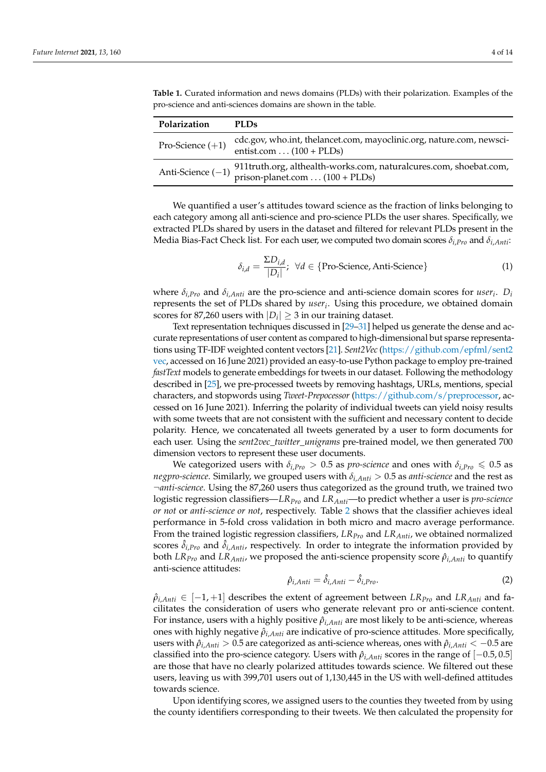| Polarization       | PLDs.                                                                                                                    |
|--------------------|--------------------------------------------------------------------------------------------------------------------------|
| Pro-Science $(+1)$ | cdc.gov, who.int, thelancet.com, mayoclinic.org, nature.com, newsci-<br>entist.com $\dots$ (100 + PLDs)                  |
|                    | Anti-Science $(-1)$ 911truth.org, althealth-works.com, natural<br>cures.com, shoebat.com, prison-planet.com (100 + PLDs) |

<span id="page-3-0"></span>**Table 1.** Curated information and news domains (PLDs) with their polarization. Examples of the pro-science and anti-sciences domains are shown in the table.

We quantified a user's attitudes toward science as the fraction of links belonging to each category among all anti-science and pro-science PLDs the user shares. Specifically, we extracted PLDs shared by users in the dataset and filtered for relevant PLDs present in the Media Bias-Fact Check list. For each user, we computed two domain scores *δi*,*Pro* and *δi*,*Anti*:

$$
\delta_{i,d} = \frac{\Sigma D_{i,d}}{|D_i|}; \ \forall d \in \{\text{Pro-Science, Anti-Science}\}\
$$
 (1)

where  $\delta_{i,Pro}$  and  $\delta_{i,Anti}$  are the pro-science and anti-science domain scores for *user<sub>i</sub>*.  $D_i$ represents the set of PLDs shared by *user<sup>i</sup>* . Using this procedure, we obtained domain scores for 87,260 users with  $|D_i|\geq 3$  in our training dataset.

Text representation techniques discussed in [\[29–](#page-13-8)[31\]](#page-13-9) helped us generate the dense and accurate representations of user content as compared to high-dimensional but sparse representations using TF-IDF weighted content vectors [\[21\]](#page-13-1). *Sent2Vec* [\(https://github.com/epfml/sent2](https://github.com/epfml/sent2vec) [vec,](https://github.com/epfml/sent2vec) accessed on 16 June 2021) provided an easy-to-use Python package to employ pre-trained *fastText* models to generate embeddings for tweets in our dataset. Following the methodology described in [\[25\]](#page-13-5), we pre-processed tweets by removing hashtags, URLs, mentions, special characters, and stopwords using *Tweet-Prepocessor* [\(https://github.com/s/preprocessor,](https://github.com/s/preprocessor) accessed on 16 June 2021). Inferring the polarity of individual tweets can yield noisy results with some tweets that are not consistent with the sufficient and necessary content to decide polarity. Hence, we concatenated all tweets generated by a user to form documents for each user. Using the *sent2vec\_twitter\_unigrams* pre-trained model, we then generated 700 dimension vectors to represent these user documents.

We categorized users with  $\delta_{i,Pro} > 0.5$  as *pro-science* and ones with  $\delta_{i,Pro} \le 0.5$  as *negpro-science*. Similarly, we grouped users with *δi*,*Anti* > 0.5 as *anti-science* and the rest as ¬*anti-science*. Using the 87,260 users thus categorized as the ground truth, we trained two logistic regression classifiers—*LRPro* and *LRAnti*—to predict whether a user is *pro-science or not* or *anti-science or not*, respectively. Table [2](#page-4-0) shows that the classifier achieves ideal performance in 5-fold cross validation in both micro and macro average performance. From the trained logistic regression classifiers, *LRPro* and *LRAnti*, we obtained normalized scores  $\delta_{i,Pro}$  and  $\delta_{i,Anti}$ , respectively. In order to integrate the information provided by both  $LR_{Pro}$  and  $LR_{Anti}$ , we proposed the anti-science propensity score  $\hat{\rho}_{i,Anti}$  to quantify anti-science attitudes:

$$
\hat{\rho}_{i,Anti} = \hat{\delta}_{i,Anti} - \hat{\delta}_{i,Pro}.
$$
\n(2)

 $\hat{\rho}_{i,Anti} \in [-1, +1]$  describes the extent of agreement between  $LR_{Pro}$  and  $LR_{Anti}$  and facilitates the consideration of users who generate relevant pro or anti-science content. For instance, users with a highly positive *ρ*ˆ*i*,*Anti* are most likely to be anti-science, whereas ones with highly negative *ρ*ˆ*i*,*Anti* are indicative of pro-science attitudes. More specifically, users with *ρ*ˆ*i*,*Anti* > 0.5 are categorized as anti-science whereas, ones with *ρ*ˆ*i*,*Anti* < −0.5 are classified into the pro-science category. Users with *ρ*ˆ*i*,*Anti* scores in the range of [−0.5, 0.5] are those that have no clearly polarized attitudes towards science. We filtered out these users, leaving us with 399,701 users out of 1,130,445 in the US with well-defined attitudes towards science.

Upon identifying scores, we assigned users to the counties they tweeted from by using the county identifiers corresponding to their tweets. We then calculated the propensity for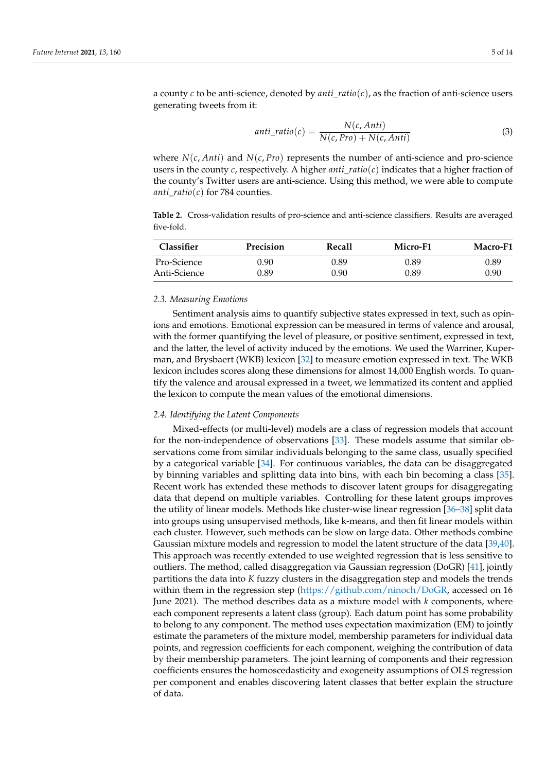a county *c* to be anti-science, denoted by *anti*\_*ratio*(*c*), as the fraction of anti-science users generating tweets from it:

$$
anti\_ratio(c) = \frac{N(c, Anti)}{N(c, Proj) + N(c, Anti)}
$$
\n(3)

where  $N(c, Anti)$  and  $N(c, Pro)$  represents the number of anti-science and pro-science users in the county  $c$ , respectively. A higher *anti*<sub>\_</sub>*ratio*( $c$ ) indicates that a higher fraction of the county's Twitter users are anti-science. Using this method, we were able to compute *anti*\_*ratio*(*c*) for 784 counties.

<span id="page-4-0"></span>**Table 2.** Cross-validation results of pro-science and anti-science classifiers. Results are averaged five-fold.

| <b>Classifier</b> | <b>Precision</b> | Recall | Micro-F1 | Macro-F1 |
|-------------------|------------------|--------|----------|----------|
| Pro-Science       | 0.90             | 9.89   | 0.89     | 0.89     |
| Anti-Science      | 0.89             | 0.90   | 0.89     | 0.90     |

#### *2.3. Measuring Emotions*

Sentiment analysis aims to quantify subjective states expressed in text, such as opinions and emotions. Emotional expression can be measured in terms of valence and arousal, with the former quantifying the level of pleasure, or positive sentiment, expressed in text, and the latter, the level of activity induced by the emotions. We used the Warriner, Kuperman, and Brysbaert (WKB) lexicon [\[32\]](#page-13-10) to measure emotion expressed in text. The WKB lexicon includes scores along these dimensions for almost 14,000 English words. To quantify the valence and arousal expressed in a tweet, we lemmatized its content and applied the lexicon to compute the mean values of the emotional dimensions.

## *2.4. Identifying the Latent Components*

Mixed-effects (or multi-level) models are a class of regression models that account for the non-independence of observations [\[33\]](#page-13-11). These models assume that similar observations come from similar individuals belonging to the same class, usually specified by a categorical variable [\[34\]](#page-13-12). For continuous variables, the data can be disaggregated by binning variables and splitting data into bins, with each bin becoming a class [\[35\]](#page-13-13). Recent work has extended these methods to discover latent groups for disaggregating data that depend on multiple variables. Controlling for these latent groups improves the utility of linear models. Methods like cluster-wise linear regression [\[36–](#page-13-14)[38\]](#page-13-15) split data into groups using unsupervised methods, like k-means, and then fit linear models within each cluster. However, such methods can be slow on large data. Other methods combine Gaussian mixture models and regression to model the latent structure of the data [\[39,](#page-13-16)[40\]](#page-13-17). This approach was recently extended to use weighted regression that is less sensitive to outliers. The method, called disaggregation via Gaussian regression (DoGR) [\[41\]](#page-13-18), jointly partitions the data into *K* fuzzy clusters in the disaggregation step and models the trends within them in the regression step [\(https://github.com/ninoch/DoGR,](https://github.com/ninoch/DoGR) accessed on 16 June 2021). The method describes data as a mixture model with *k* components, where each component represents a latent class (group). Each datum point has some probability to belong to any component. The method uses expectation maximization (EM) to jointly estimate the parameters of the mixture model, membership parameters for individual data points, and regression coefficients for each component, weighing the contribution of data by their membership parameters. The joint learning of components and their regression coefficients ensures the homoscedasticity and exogeneity assumptions of OLS regression per component and enables discovering latent classes that better explain the structure of data.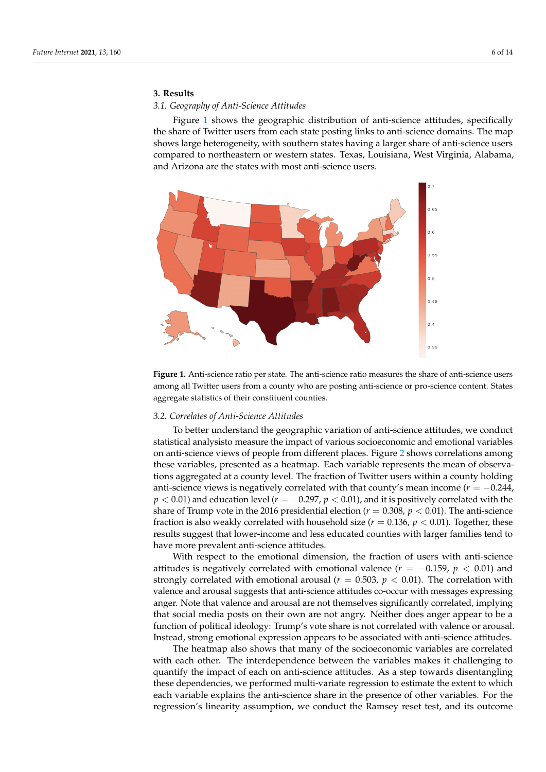# **3. Results**

# *3.1. Geography of Anti-Science Attitudes*

Figure [1](#page-5-0) shows the geographic distribution of anti-science attitudes, specifically the share of Twitter users from each state posting links to anti-science domains. The map shows large heterogeneity, with southern states having a larger share of anti-science users compared to northeastern or western states. Texas, Louisiana, West Virginia, Alabama, and Arizona are the states with most anti-science users.

<span id="page-5-0"></span>

**Figure 1.** Anti-science ratio per state. The anti-science ratio measures the share of anti-science users among all Twitter users from a county who are posting anti-science or pro-science content. States aggregate statistics of their constituent counties.

## *3.2. Correlates of Anti-Science Attitudes*

To better understand the geographic variation of anti-science attitudes, we conduct statistical analysisto measure the impact of various socioeconomic and emotional variables on anti-science views of people from different places. Figure [2](#page-6-0) shows correlations among these variables, presented as a heatmap. Each variable represents the mean of observations aggregated at a county level. The fraction of Twitter users within a county holding anti-science views is negatively correlated with that county's mean income  $(r = -0.244,$ *p* < 0.01) and education level (*r* = −0.297, *p* < 0.01), and it is positively correlated with the share of Trump vote in the 2016 presidential election ( $r = 0.308$ ,  $p < 0.01$ ). The anti-science fraction is also weakly correlated with household size  $(r = 0.136, p < 0.01)$ . Together, these results suggest that lower-income and less educated counties with larger families tend to have more prevalent anti-science attitudes.

With respect to the emotional dimension, the fraction of users with anti-science attitudes is negatively correlated with emotional valence  $(r = -0.159, p < 0.01)$  and strongly correlated with emotional arousal ( $r = 0.503$ ,  $p < 0.01$ ). The correlation with valence and arousal suggests that anti-science attitudes co-occur with messages expressing anger. Note that valence and arousal are not themselves significantly correlated, implying that social media posts on their own are not angry. Neither does anger appear to be a function of political ideology: Trump's vote share is not correlated with valence or arousal. Instead, strong emotional expression appears to be associated with anti-science attitudes.

The heatmap also shows that many of the socioeconomic variables are correlated with each other. The interdependence between the variables makes it challenging to quantify the impact of each on anti-science attitudes. As a step towards disentangling these dependencies, we performed multi-variate regression to estimate the extent to which each variable explains the anti-science share in the presence of other variables. For the regression's linearity assumption, we conduct the Ramsey reset test, and its outcome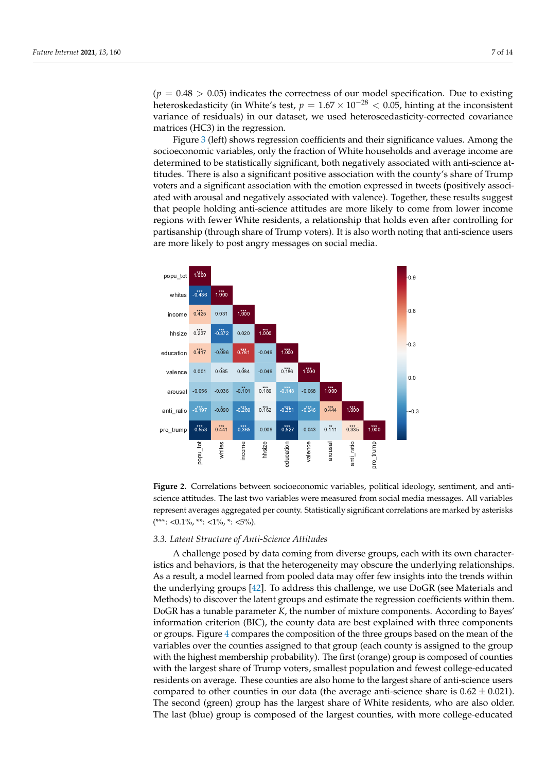$(p = 0.48 > 0.05)$  indicates the correctness of our model specification. Due to existing heteroskedasticity (in White's test,  $p = 1.67 \times 10^{-28} < 0.05$ , hinting at the inconsistent variance of residuals) in our dataset, we used heteroscedasticity-corrected covariance matrices (HC3) in the regression.

Figure [3](#page-7-0) (left) shows regression coefficients and their significance values. Among the socioeconomic variables, only the fraction of White households and average income are determined to be statistically significant, both negatively associated with anti-science attitudes. There is also a significant positive association with the county's share of Trump voters and a significant association with the emotion expressed in tweets (positively associated with arousal and negatively associated with valence). Together, these results suggest that people holding anti-science attitudes are more likely to come from lower income regions with fewer White residents, a relationship that holds even after controlling for partisanship (through share of Trump voters). It is also worth noting that anti-science users are more likely to post angry messages on social media.

<span id="page-6-0"></span>

**Figure 2.** Correlations between socioeconomic variables, political ideology, sentiment, and antiscience attitudes. The last two variables were measured from social media messages. All variables represent averages aggregated per county. Statistically significant correlations are marked by asterisks  $(***: 0.1\%, **: 1\%, *: 5\%).$ 

#### *3.3. Latent Structure of Anti-Science Attitudes*

A challenge posed by data coming from diverse groups, each with its own characteristics and behaviors, is that the heterogeneity may obscure the underlying relationships. As a result, a model learned from pooled data may offer few insights into the trends within the underlying groups [\[42\]](#page-13-19). To address this challenge, we use DoGR (see Materials and Methods) to discover the latent groups and estimate the regression coefficients within them. DoGR has a tunable parameter *K*, the number of mixture components. According to Bayes' information criterion (BIC), the county data are best explained with three components or groups. Figure [4](#page-8-0) compares the composition of the three groups based on the mean of the variables over the counties assigned to that group (each county is assigned to the group with the highest membership probability). The first (orange) group is composed of counties with the largest share of Trump voters, smallest population and fewest college-educated residents on average. These counties are also home to the largest share of anti-science users compared to other counties in our data (the average anti-science share is  $0.62 \pm 0.021$ ). The second (green) group has the largest share of White residents, who are also older. The last (blue) group is composed of the largest counties, with more college-educated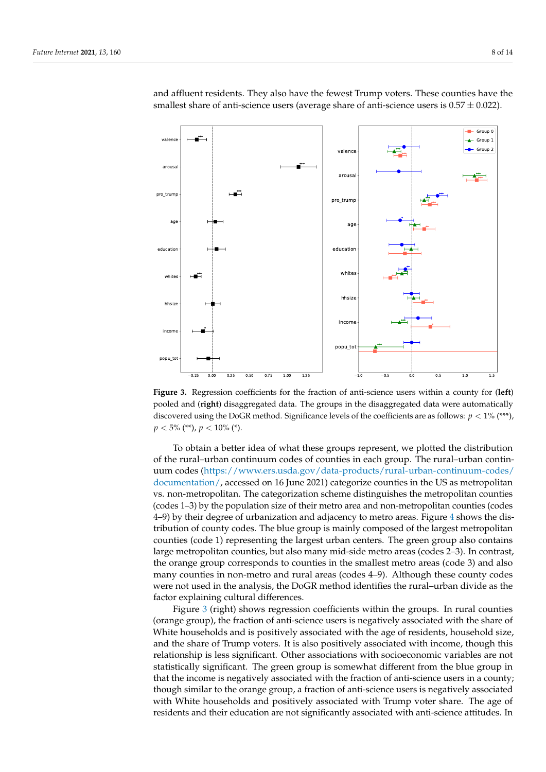<span id="page-7-0"></span>

and affluent residents. They also have the fewest Trump voters. These counties have the smallest share of anti-science users (average share of anti-science users is  $0.57 \pm 0.022$ ).

**Figure 3.** Regression coefficients for the fraction of anti-science users within a county for (**left**) pooled and (**right**) disaggregated data. The groups in the disaggregated data were automatically discovered using the DoGR method. Significance levels of the coefficients are as follows: *p* < 1% (\*\*\*),  $p < 5\%$  (\*\*),  $p < 10\%$  (\*).

To obtain a better idea of what these groups represent, we plotted the distribution of the rural–urban continuum codes of counties in each group. The rural–urban continuum codes [\(https://www.ers.usda.gov/data-products/rural-urban-continuum-codes/](https://www.ers.usda.gov/data-products/rural-urban-continuum-codes/documentation/) [documentation/,](https://www.ers.usda.gov/data-products/rural-urban-continuum-codes/documentation/) accessed on 16 June 2021) categorize counties in the US as metropolitan vs. non-metropolitan. The categorization scheme distinguishes the metropolitan counties (codes 1–3) by the population size of their metro area and non-metropolitan counties (codes 4–9) by their degree of urbanization and adjacency to metro areas. Figure [4](#page-8-0) shows the distribution of county codes. The blue group is mainly composed of the largest metropolitan counties (code 1) representing the largest urban centers. The green group also contains large metropolitan counties, but also many mid-side metro areas (codes 2–3). In contrast, the orange group corresponds to counties in the smallest metro areas (code 3) and also many counties in non-metro and rural areas (codes 4–9). Although these county codes were not used in the analysis, the DoGR method identifies the rural–urban divide as the factor explaining cultural differences.

Figure [3](#page-7-0) (right) shows regression coefficients within the groups. In rural counties (orange group), the fraction of anti-science users is negatively associated with the share of White households and is positively associated with the age of residents, household size, and the share of Trump voters. It is also positively associated with income, though this relationship is less significant. Other associations with socioeconomic variables are not statistically significant. The green group is somewhat different from the blue group in that the income is negatively associated with the fraction of anti-science users in a county; though similar to the orange group, a fraction of anti-science users is negatively associated with White households and positively associated with Trump voter share. The age of residents and their education are not significantly associated with anti-science attitudes. In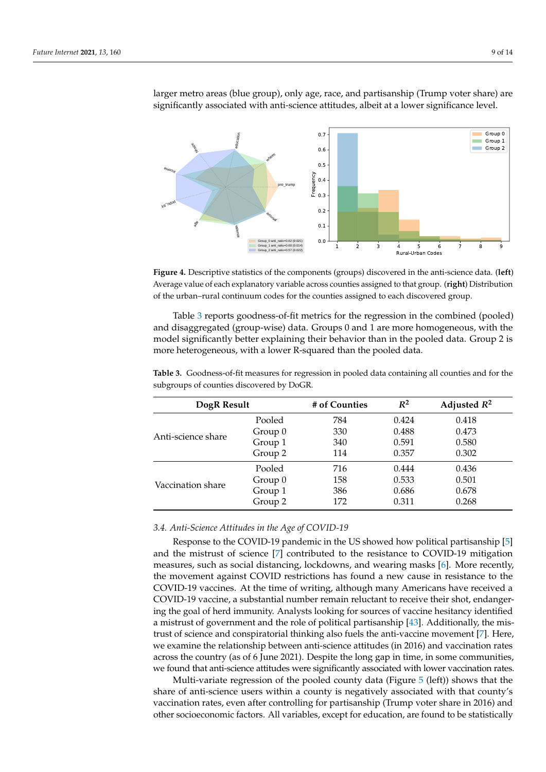<span id="page-8-0"></span>

larger metro areas (blue group), only age, race, and partisanship (Trump voter share) are significantly associated with anti-science attitudes, albeit at a lower significance level.

**Figure 4.** Descriptive statistics of the components (groups) discovered in the anti-science data. (**left**) Average value of each explanatory variable across counties assigned to that group. (**right**) Distribution of the urban–rural continuum codes for the counties assigned to each discovered group.

Table [3](#page-8-1) reports goodness-of-fit metrics for the regression in the combined (pooled) and disaggregated (group-wise) data. Groups 0 and 1 are more homogeneous, with the model significantly better explaining their behavior than in the pooled data. Group 2 is more heterogeneous, with a lower R-squared than the pooled data.

| DogR Result        |         | # of Counties | $R^2$ | Adjusted $R^2$ |
|--------------------|---------|---------------|-------|----------------|
| Anti-science share | Pooled  | 784           | 0.424 | 0.418          |
|                    | Group 0 | 330           | 0.488 | 0.473          |
|                    | Group 1 | 340           | 0.591 | 0.580          |
|                    | Group 2 | 114           | 0.357 | 0.302          |
|                    | Pooled  | 716           | 0.444 | 0.436          |
| Vaccination share  | Group 0 | 158           | 0.533 | 0.501          |
|                    | Group 1 | 386           | 0.686 | 0.678          |
|                    | Group 2 | 172           | 0.311 | 0.268          |

<span id="page-8-1"></span>**Table 3.** Goodness-of-fit measures for regression in pooled data containing all counties and for the subgroups of counties discovered by DoGR.

#### *3.4. Anti-Science Attitudes in the Age of COVID-19*

Response to the COVID-19 pandemic in the US showed how political partisanship [\[5\]](#page-12-3) and the mistrust of science [\[7\]](#page-12-5) contributed to the resistance to COVID-19 mitigation measures, such as social distancing, lockdowns, and wearing masks [\[6\]](#page-12-4). More recently, the movement against COVID restrictions has found a new cause in resistance to the COVID-19 vaccines. At the time of writing, although many Americans have received a COVID-19 vaccine, a substantial number remain reluctant to receive their shot, endangering the goal of herd immunity. Analysts looking for sources of vaccine hesitancy identified a mistrust of government and the role of political partisanship [\[43\]](#page-13-20). Additionally, the mistrust of science and conspiratorial thinking also fuels the anti-vaccine movement [\[7\]](#page-12-5). Here, we examine the relationship between anti-science attitudes (in 2016) and vaccination rates across the country (as of 6 June 2021). Despite the long gap in time, in some communities, we found that anti-science attitudes were significantly associated with lower vaccination rates.

Multi-variate regression of the pooled county data (Figure  $5$  (left)) shows that the share of anti-science users within a county is negatively associated with that county's vaccination rates, even after controlling for partisanship (Trump voter share in 2016) and other socioeconomic factors. All variables, except for education, are found to be statistically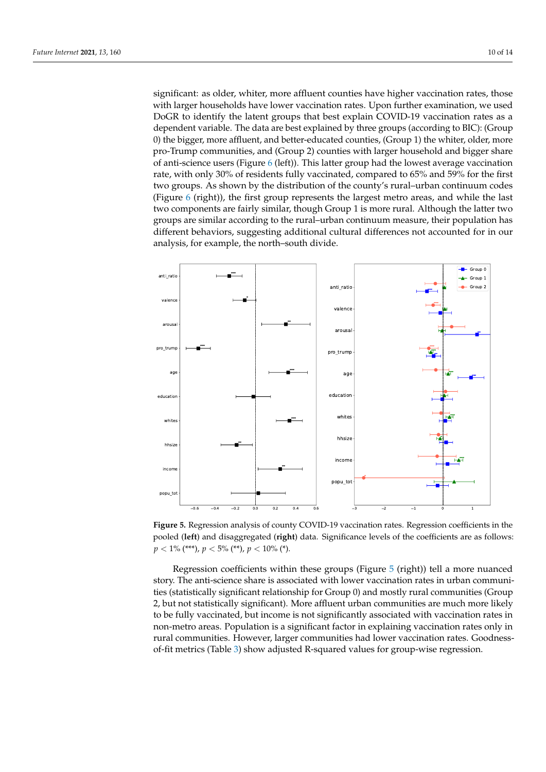significant: as older, whiter, more affluent counties have higher vaccination rates, those with larger households have lower vaccination rates. Upon further examination, we used DoGR to identify the latent groups that best explain COVID-19 vaccination rates as a dependent variable. The data are best explained by three groups (according to BIC): (Group 0) the bigger, more affluent, and better-educated counties, (Group 1) the whiter, older, more pro-Trump communities, and (Group 2) counties with larger household and bigger share of anti-science users (Figure [6](#page-10-0) (left)). This latter group had the lowest average vaccination rate, with only 30% of residents fully vaccinated, compared to 65% and 59% for the first two groups. As shown by the distribution of the county's rural–urban continuum codes (Figure [6](#page-10-0) (right)), the first group represents the largest metro areas, and while the last two components are fairly similar, though Group 1 is more rural. Although the latter two groups are similar according to the rural–urban continuum measure, their population has different behaviors, suggesting additional cultural differences not accounted for in our analysis, for example, the north–south divide.

<span id="page-9-0"></span>

**Figure 5.** Regression analysis of county COVID-19 vaccination rates. Regression coefficients in the pooled (**left**) and disaggregated (**right**) data. Significance levels of the coefficients are as follows:  $p < 1\%$  (\*\*\*),  $p < 5\%$  (\*\*),  $p < 10\%$  (\*).

Regression coefficients within these groups (Figure [5](#page-9-0) (right)) tell a more nuanced story. The anti-science share is associated with lower vaccination rates in urban communities (statistically significant relationship for Group 0) and mostly rural communities (Group 2, but not statistically significant). More affluent urban communities are much more likely to be fully vaccinated, but income is not significantly associated with vaccination rates in non-metro areas. Population is a significant factor in explaining vaccination rates only in rural communities. However, larger communities had lower vaccination rates. Goodnessof-fit metrics (Table [3\)](#page-8-1) show adjusted R-squared values for group-wise regression.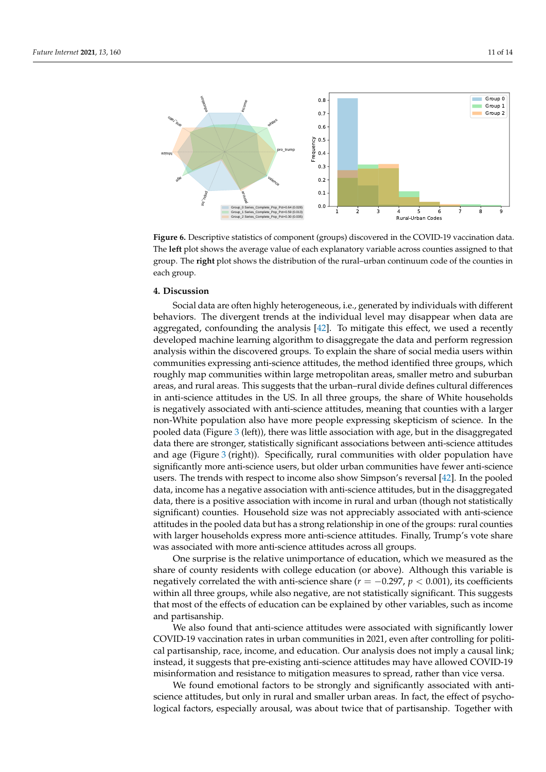<span id="page-10-0"></span>

**Figure 6.** Descriptive statistics of component (groups) discovered in the COVID-19 vaccination data. The **left** plot shows the average value of each explanatory variable across counties assigned to that group. The **right** plot shows the distribution of the rural–urban continuum code of the counties in each group.

# **4. Discussion**

Social data are often highly heterogeneous, i.e., generated by individuals with different behaviors. The divergent trends at the individual level may disappear when data are aggregated, confounding the analysis [\[42\]](#page-13-19). To mitigate this effect, we used a recently developed machine learning algorithm to disaggregate the data and perform regression analysis within the discovered groups. To explain the share of social media users within communities expressing anti-science attitudes, the method identified three groups, which roughly map communities within large metropolitan areas, smaller metro and suburban areas, and rural areas. This suggests that the urban–rural divide defines cultural differences in anti-science attitudes in the US. In all three groups, the share of White households is negatively associated with anti-science attitudes, meaning that counties with a larger non-White population also have more people expressing skepticism of science. In the pooled data (Figure [3](#page-7-0) (left)), there was little association with age, but in the disaggregated data there are stronger, statistically significant associations between anti-science attitudes and age (Figure [3](#page-7-0) (right)). Specifically, rural communities with older population have significantly more anti-science users, but older urban communities have fewer anti-science users. The trends with respect to income also show Simpson's reversal [\[42\]](#page-13-19). In the pooled data, income has a negative association with anti-science attitudes, but in the disaggregated data, there is a positive association with income in rural and urban (though not statistically significant) counties. Household size was not appreciably associated with anti-science attitudes in the pooled data but has a strong relationship in one of the groups: rural counties with larger households express more anti-science attitudes. Finally, Trump's vote share was associated with more anti-science attitudes across all groups.

One surprise is the relative unimportance of education, which we measured as the share of county residents with college education (or above). Although this variable is negatively correlated the with anti-science share ( $r = -0.297$ ,  $p < 0.001$ ), its coefficients within all three groups, while also negative, are not statistically significant. This suggests that most of the effects of education can be explained by other variables, such as income and partisanship.

We also found that anti-science attitudes were associated with significantly lower COVID-19 vaccination rates in urban communities in 2021, even after controlling for political partisanship, race, income, and education. Our analysis does not imply a causal link; instead, it suggests that pre-existing anti-science attitudes may have allowed COVID-19 misinformation and resistance to mitigation measures to spread, rather than vice versa.

We found emotional factors to be strongly and significantly associated with antiscience attitudes, but only in rural and smaller urban areas. In fact, the effect of psychological factors, especially arousal, was about twice that of partisanship. Together with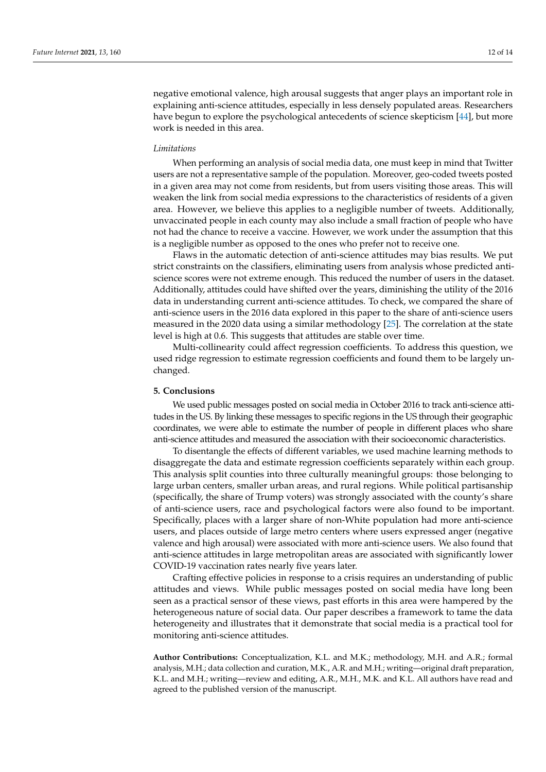negative emotional valence, high arousal suggests that anger plays an important role in explaining anti-science attitudes, especially in less densely populated areas. Researchers have begun to explore the psychological antecedents of science skepticism [\[44\]](#page-13-21), but more work is needed in this area.

#### *Limitations*

When performing an analysis of social media data, one must keep in mind that Twitter users are not a representative sample of the population. Moreover, geo-coded tweets posted in a given area may not come from residents, but from users visiting those areas. This will weaken the link from social media expressions to the characteristics of residents of a given area. However, we believe this applies to a negligible number of tweets. Additionally, unvaccinated people in each county may also include a small fraction of people who have not had the chance to receive a vaccine. However, we work under the assumption that this is a negligible number as opposed to the ones who prefer not to receive one.

Flaws in the automatic detection of anti-science attitudes may bias results. We put strict constraints on the classifiers, eliminating users from analysis whose predicted antiscience scores were not extreme enough. This reduced the number of users in the dataset. Additionally, attitudes could have shifted over the years, diminishing the utility of the 2016 data in understanding current anti-science attitudes. To check, we compared the share of anti-science users in the 2016 data explored in this paper to the share of anti-science users measured in the 2020 data using a similar methodology [\[25\]](#page-13-5). The correlation at the state level is high at 0.6. This suggests that attitudes are stable over time.

Multi-collinearity could affect regression coefficients. To address this question, we used ridge regression to estimate regression coefficients and found them to be largely unchanged.

## **5. Conclusions**

We used public messages posted on social media in October 2016 to track anti-science attitudes in the US. By linking these messages to specific regions in the US through their geographic coordinates, we were able to estimate the number of people in different places who share anti-science attitudes and measured the association with their socioeconomic characteristics.

To disentangle the effects of different variables, we used machine learning methods to disaggregate the data and estimate regression coefficients separately within each group. This analysis split counties into three culturally meaningful groups: those belonging to large urban centers, smaller urban areas, and rural regions. While political partisanship (specifically, the share of Trump voters) was strongly associated with the county's share of anti-science users, race and psychological factors were also found to be important. Specifically, places with a larger share of non-White population had more anti-science users, and places outside of large metro centers where users expressed anger (negative valence and high arousal) were associated with more anti-science users. We also found that anti-science attitudes in large metropolitan areas are associated with significantly lower COVID-19 vaccination rates nearly five years later.

Crafting effective policies in response to a crisis requires an understanding of public attitudes and views. While public messages posted on social media have long been seen as a practical sensor of these views, past efforts in this area were hampered by the heterogeneous nature of social data. Our paper describes a framework to tame the data heterogeneity and illustrates that it demonstrate that social media is a practical tool for monitoring anti-science attitudes.

**Author Contributions:** Conceptualization, K.L. and M.K.; methodology, M.H. and A.R.; formal analysis, M.H.; data collection and curation, M.K., A.R. and M.H.; writing—original draft preparation, K.L. and M.H.; writing—review and editing, A.R., M.H., M.K. and K.L. All authors have read and agreed to the published version of the manuscript.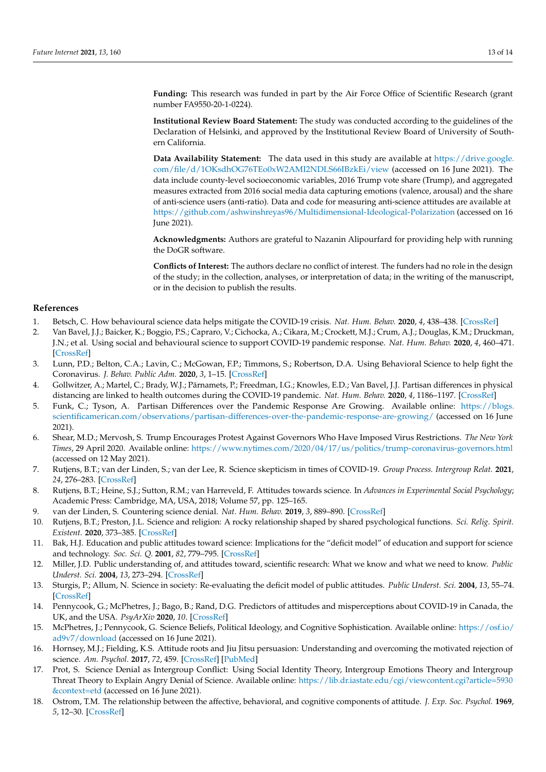**Funding:** This research was funded in part by the Air Force Office of Scientific Research (grant number FA9550-20-1-0224).

**Institutional Review Board Statement:** The study was conducted according to the guidelines of the Declaration of Helsinki, and approved by the Institutional Review Board of University of Southern California.

**Data Availability Statement:** The data used in this study are available at [https://drive.google.](https://drive.google.com/file/d/1OKsdhOG76TEo0xW2AMI2NDLS66IBzkEi/view) [com/file/d/1OKsdhOG76TEo0xW2AMI2NDLS66IBzkEi/view](https://drive.google.com/file/d/1OKsdhOG76TEo0xW2AMI2NDLS66IBzkEi/view) (accessed on 16 June 2021). The data include county-level socioeconomic variables, 2016 Trump vote share (Trump), and aggregated measures extracted from 2016 social media data capturing emotions (valence, arousal) and the share of anti-science users (anti-ratio). Data and code for measuring anti-science attitudes are available at <https://github.com/ashwinshreyas96/Multidimensional-Ideological-Polarization> (accessed on 16 June 2021).

**Acknowledgments:** Authors are grateful to Nazanin Alipourfard for providing help with running the DoGR software.

**Conflicts of Interest:** The authors declare no conflict of interest. The funders had no role in the design of the study; in the collection, analyses, or interpretation of data; in the writing of the manuscript, or in the decision to publish the results.

# **References**

- <span id="page-12-0"></span>1. Betsch, C. How behavioural science data helps mitigate the COVID-19 crisis. *Nat. Hum. Behav.* **2020**, *4*, 438–438. [\[CrossRef\]](http://doi.org/10.1038/s41562-020-0866-1)
- 2. Van Bavel, J.J.; Baicker, K.; Boggio, P.S.; Capraro, V.; Cichocka, A.; Cikara, M.; Crockett, M.J.; Crum, A.J.; Douglas, K.M.; Druckman, J.N.; et al. Using social and behavioural science to support COVID-19 pandemic response. *Nat. Hum. Behav.* **2020**, *4*, 460–471. [\[CrossRef\]](http://dx.doi.org/10.1038/s41562-020-0884-z)
- <span id="page-12-1"></span>3. Lunn, P.D.; Belton, C.A.; Lavin, C.; McGowan, F.P.; Timmons, S.; Robertson, D.A. Using Behavioral Science to help fight the Coronavirus. *J. Behav. Public Adm.* **2020**, *3*, 1–15. [\[CrossRef\]](http://dx.doi.org/10.30636/jbpa.31.147)
- <span id="page-12-2"></span>4. Gollwitzer, A.; Martel, C.; Brady, W.J.; Pärnamets, P.; Freedman, I.G.; Knowles, E.D.; Van Bavel, J.J. Partisan differences in physical distancing are linked to health outcomes during the COVID-19 pandemic. *Nat. Hum. Behav.* **2020**, *4*, 1186–1197. [\[CrossRef\]](http://dx.doi.org/10.1038/s41562-020-00977-7)
- <span id="page-12-3"></span>5. Funk, C.; Tyson, A. Partisan Differences over the Pandemic Response Are Growing. Available online: [https://blogs.](https://blogs.scientificamerican.com/observations/partisan-differences-over-the-pandemic-response-are-growing/) [scientificamerican.com/observations/partisan-differences-over-the-pandemic-response-are-growing/](https://blogs.scientificamerican.com/observations/partisan-differences-over-the-pandemic-response-are-growing/) (accessed on 16 June 2021).
- <span id="page-12-4"></span>6. Shear, M.D.; Mervosh, S. Trump Encourages Protest Against Governors Who Have Imposed Virus Restrictions. *The New York Times*, 29 April 2020. Available online: <https://www.nytimes.com/2020/04/17/us/politics/trump-coronavirus-governors.html> (accessed on 12 May 2021).
- <span id="page-12-5"></span>7. Rutjens, B.T.; van der Linden, S.; van der Lee, R. Science skepticism in times of COVID-19. *Group Process. Intergroup Relat.* **2021**, *24*, 276–283. [\[CrossRef\]](http://dx.doi.org/10.1177/1368430220981415)
- <span id="page-12-6"></span>8. Rutjens, B.T.; Heine, S.J.; Sutton, R.M.; van Harreveld, F. Attitudes towards science. In *Advances in Experimental Social Psychology*; Academic Press: Cambridge, MA, USA, 2018; Volume 57, pp. 125–165.
- <span id="page-12-7"></span>9. van der Linden, S. Countering science denial. *Nat. Hum. Behav.* **2019**, *3*, 889–890. [\[CrossRef\]](http://dx.doi.org/10.1038/s41562-019-0631-5)
- <span id="page-12-8"></span>10. Rutjens, B.T.; Preston, J.L. Science and religion: A rocky relationship shaped by shared psychological functions. *Sci. Relig. Spirit. Existent.* **2020**, 373–385. [\[CrossRef\]](http://dx.doi.org/10.1016/B978-0-12-817204-9.00027-5)
- <span id="page-12-9"></span>11. Bak, H.J. Education and public attitudes toward science: Implications for the "deficit model" of education and support for science and technology. *Soc. Sci. Q.* **2001**, *82*, 779–795. [\[CrossRef\]](http://dx.doi.org/10.1111/0038-4941.00059)
- 12. Miller, J.D. Public understanding of, and attitudes toward, scientific research: What we know and what we need to know. *Public Underst. Sci.* **2004**, *13*, 273–294. [\[CrossRef\]](http://dx.doi.org/10.1177/0963662504044908)
- <span id="page-12-10"></span>13. Sturgis, P.; Allum, N. Science in society: Re-evaluating the deficit model of public attitudes. *Public Underst. Sci.* **2004**, *13*, 55–74. [\[CrossRef\]](http://dx.doi.org/10.1177/0963662504042690)
- <span id="page-12-11"></span>14. Pennycook, G.; McPhetres, J.; Bago, B.; Rand, D.G. Predictors of attitudes and misperceptions about COVID-19 in Canada, the UK, and the USA. *PsyArXiv* **2020**, *10*. [\[CrossRef\]](http://dx.doi.org/10.31234/osf.io/zhjkp)
- <span id="page-12-12"></span>15. McPhetres, J.; Pennycook, G. Science Beliefs, Political Ideology, and Cognitive Sophistication. Available online: [https://osf.io/](https://osf.io/ad9v7/download) [ad9v7/download](https://osf.io/ad9v7/download) (accessed on 16 June 2021).
- <span id="page-12-13"></span>16. Hornsey, M.J.; Fielding, K.S. Attitude roots and Jiu Jitsu persuasion: Understanding and overcoming the motivated rejection of science. *Am. Psychol.* **2017**, *72*, 459. [\[CrossRef\]](http://dx.doi.org/10.1037/a0040437) [\[PubMed\]](http://www.ncbi.nlm.nih.gov/pubmed/28726454)
- <span id="page-12-14"></span>17. Prot, S. Science Denial as Intergroup Conflict: Using Social Identity Theory, Intergroup Emotions Theory and Intergroup Threat Theory to Explain Angry Denial of Science. Available online: [https://lib.dr.iastate.edu/cgi/viewcontent.cgi?article=5930](https://lib.dr.iastate.edu/cgi/viewcontent.cgi?article=5930&context=etd) [&context=etd](https://lib.dr.iastate.edu/cgi/viewcontent.cgi?article=5930&context=etd) (accessed on 16 June 2021).
- <span id="page-12-15"></span>18. Ostrom, T.M. The relationship between the affective, behavioral, and cognitive components of attitude. *J. Exp. Soc. Psychol.* **1969**, *5*, 12–30. [\[CrossRef\]](http://dx.doi.org/10.1016/0022-1031(69)90003-1)